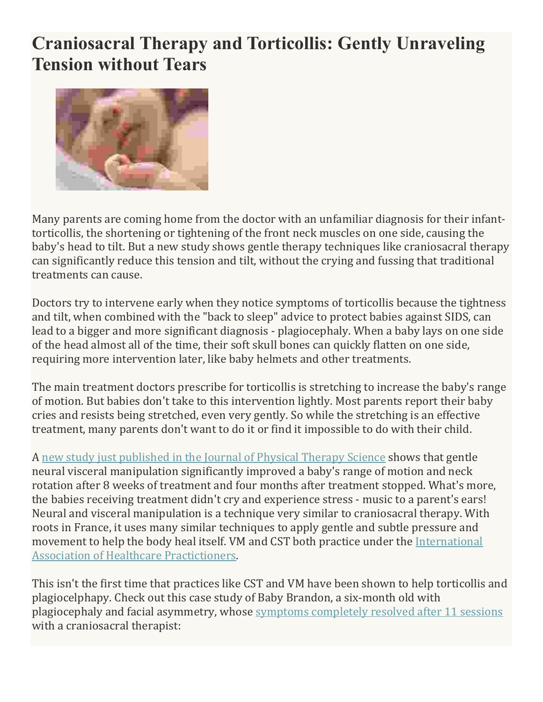## **Craniosacral Therapy and Torticollis: Gently Unraveling Tension without Tears**



Many parents are coming home from the doctor with an unfamiliar diagnosis for their infanttorticollis, the shortening or tightening of the front neck muscles on one side, causing the baby's head to tilt. But a new study shows gentle therapy techniques like craniosacral therapy can significantly reduce this tension and tilt, without the crying and fussing that traditional treatments can cause.

Doctors try to intervene early when they notice symptoms of torticollis because the tightness and tilt, when combined with the "back to sleep" advice to protect babies against SIDS, can lead to a bigger and more significant diagnosis - plagiocephaly. When a baby lays on one side of the head almost all of the time, their soft skull bones can quickly flatten on one side, requiring more intervention later, like baby helmets and other treatments.

The main treatment doctors prescribe for torticollis is stretching to increase the baby's range of motion. But babies don't take to this intervention lightly. Most parents report their baby cries and resists being stretched, even very gently. So while the stretching is an effective treatment, many parents don't want to do it or find it impossible to do with their child.

A new study just published in the Journal of Physical Therapy Science shows that gentle neural visceral manipulation significantly improved a baby's range of motion and neck rotation after 8 weeks of treatment and four months after treatment stopped. What's more, the babies receiving treatment didn't cry and experience stress - music to a parent's ears! Neural and visceral manipulation is a technique very similar to craniosacral therapy. With roots in France, it uses many similar techniques to apply gentle and subtle pressure and movement to help the body heal itself. VM and CST both practice under the International Association of Healthcare Practictioners.

This isn't the first time that practices like CST and VM have been shown to help torticollis and plagiocelphapy. Check out this case study of Baby Brandon, a six-month old with plagiocephaly and facial asymmetry, whose symptoms completely resolved after 11 sessions with a craniosacral therapist: